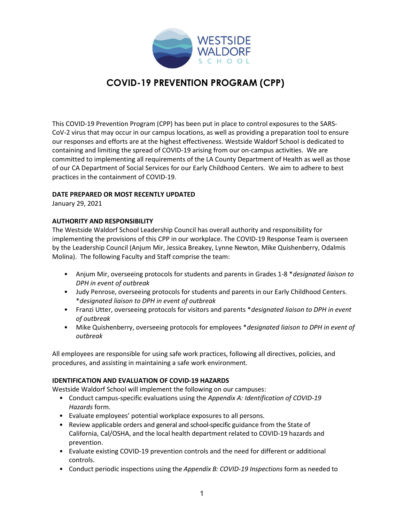

# COVID-19 PREVENTION PROGRAM (CPP)

This COVID-19 Prevention Program (CPP) has been put in place to control exposures to the SARS-CoV-2 virus that may occur in our campus locations, as well as providing a preparation tool to ensure our responses and efforts are at the highest effectiveness. Westside Waldorf School is dedicated to containing and limiting the spread of COVID-19 arising from our on-campus activities. We are committed to implementing all requirements of the LA County Department of Health as well as those of our CA Department of Social Services for our Early Childhood Centers. We aim to adhere to best practices in the containment of COVID-19.

### DATE PREPARED OR MOST RECENTLY UPDATED

January 29, 2021

### AUTHORITY AND RESPONSIBILITY

The Westside Waldorf School Leadership Council has overall authority and responsibility for implementing the provisions of this CPP in our workplace. The COVID-19 Response Team is overseen by the Leadership Council (Anjum Mir, Jessica Breakey, Lynne Newton, Mike Quishenberry, Odalmis Molina). The following Faculty and Staff comprise the team:

- Anjum Mir, overseeing protocols for students and parents in Grades 1-8 \*designated liaison to DPH in event of outbreak
- Judy Penrose, overseeing protocols for students and parents in our Early Childhood Centers. \*designated liaison to DPH in event of outbreak
- Franzi Utter, overseeing protocols for visitors and parents \*designated liaison to DPH in event of outbreak
- Mike Quishenberry, overseeing protocols for employees \*designated liaison to DPH in event of outbreak

All employees are responsible for using safe work practices, following all directives, policies, and procedures, and assisting in maintaining a safe work environment.

### IDENTIFICATION AND EVALUATION OF COVID-19 HAZARDS

Westside Waldorf School will implement the following on our campuses:

- Conduct campus-specific evaluations using the Appendix A: Identification of COVID-19 Hazards form.
- Evaluate employees' potential workplace exposures to all persons.
- Review applicable orders and general and school-specific guidance from the State of California, Cal/OSHA, and the local health department related to COVID-19 hazards and prevention.
- Evaluate existing COVID-19 prevention controls and the need for different or additional controls.
- Conduct periodic inspections using the Appendix B: COVID-19 Inspections form as needed to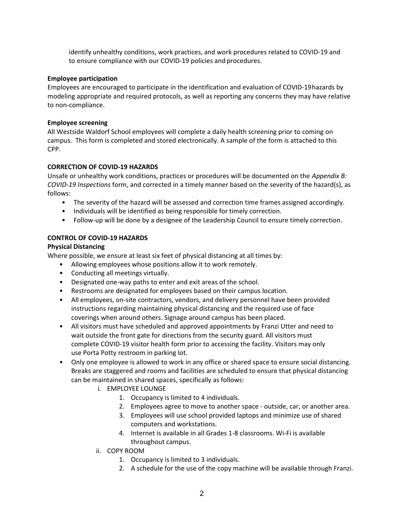identify unhealthy conditions, work practices, and work procedures related to COVID-19 and to ensure compliance with our COVID-19 policies and procedures.

### Employee participation

Employees are encouraged to participate in the identification and evaluation of COVID-19 hazards by modeling appropriate and required protocols, as well as reporting any concerns they may have relative to non-compliance.

#### Employee screening

All Westside Waldorf School employees will complete a daily health screening prior to coming on campus. This form is completed and stored electronically. A sample of the form is attached to this CPP.

### CORRECTION OF COVID-19 HAZARDS

Unsafe or unhealthy work conditions, practices or procedures will be documented on the Appendix B: COVID-19 Inspections form, and corrected in a timely manner based on the severity of the hazard(s), as follows:

- The severity of the hazard will be assessed and correction time frames assigned accordingly.
- Individuals will be identified as being responsible for timely correction.
- Follow-up will be done by a designee of the Leadership Council to ensure timely correction.

### CONTROL OF COVID-19 HAZARDS

### Physical Distancing

Where possible, we ensure at least six feet of physical distancing at all times by:

- Allowing employees whose positions allow it to work remotely.
- Conducting all meetings virtually.
- Designated one-way paths to enter and exit areas of the school.
- Restrooms are designated for employees based on their campus location.
- All employees, on-site contractors, vendors, and delivery personnel have been provided instructions regarding maintaining physical distancing and the required use of face coverings when around others. Signage around campus has been placed.
- All visitors must have scheduled and approved appointments by Franzi Utter and need to wait outside the front gate for directions from the security guard. All visitors must complete COVID-19 visitor health form prior to accessing the facility. Visitors may only use Porta Potty restroom in parking lot.
- Only one employee is allowed to work in any office or shared space to ensure social distancing. Breaks are staggered and rooms and facilities are scheduled to ensure that physical distancing can be maintained in shared spaces, specifically as follows:
	- i. EMPLOYEE LOUNGE
		- 1. Occupancy is limited to 4 individuals.
		- 2. Employees agree to move to another space outside, car, or another area.
		- 3. Employees will use school provided laptops and minimize use of shared computers and workstations.
		- 4. Internet is available in all Grades 1-8 classrooms. Wi-Fi is available throughout campus.
	- ii. COPY ROOM
		- 1. Occupancy is limited to 3 individuals.
		- 2. A schedule for the use of the copy machine will be available through Franzi.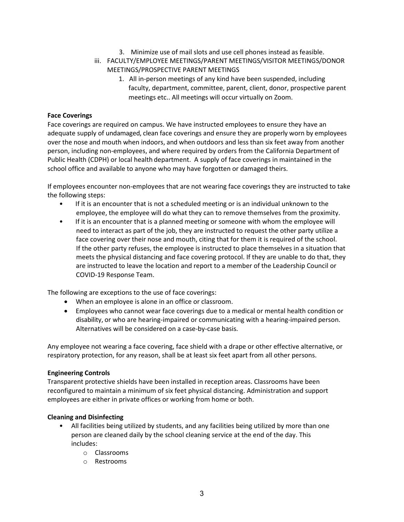- 3. Minimize use of mail slots and use cell phones instead as feasible.
- iii. FACULTY/EMPLOYEE MEETINGS/PARENT MEETINGS/VISITOR MEETINGS/DONOR MEETINGS/PROSPECTIVE PARENT MEETINGS
	- 1. All in-person meetings of any kind have been suspended, including faculty, department, committee, parent, client, donor, prospective parent meetings etc.. All meetings will occur virtually on Zoom.

### Face Coverings

Face coverings are required on campus. We have instructed employees to ensure they have an adequate supply of undamaged, clean face coverings and ensure they are properly worn by employees over the nose and mouth when indoors, and when outdoors and less than six feet away from another person, including non-employees, and where required by orders from the California Department of Public Health (CDPH) or local health department. A supply of face coverings in maintained in the school office and available to anyone who may have forgotten or damaged theirs.

If employees encounter non-employees that are not wearing face coverings they are instructed to take the following steps:

- If it is an encounter that is not a scheduled meeting or is an individual unknown to the employee, the employee will do what they can to remove themselves from the proximity.
- If it is an encounter that is a planned meeting or someone with whom the employee will need to interact as part of the job, they are instructed to request the other party utilize a face covering over their nose and mouth, citing that for them it is required of the school. If the other party refuses, the employee is instructed to place themselves in a situation that meets the physical distancing and face covering protocol. If they are unable to do that, they are instructed to leave the location and report to a member of the Leadership Council or COVID-19 Response Team.

The following are exceptions to the use of face coverings:

- When an employee is alone in an office or classroom.
- Employees who cannot wear face coverings due to a medical or mental health condition or disability, or who are hearing-impaired or communicating with a hearing-impaired person. Alternatives will be considered on a case-by-case basis.

Any employee not wearing a face covering, face shield with a drape or other effective alternative, or respiratory protection, for any reason, shall be at least six feet apart from all other persons.

### Engineering Controls

Transparent protective shields have been installed in reception areas. Classrooms have been reconfigured to maintain a minimum of six feet physical distancing. Administration and support employees are either in private offices or working from home or both.

### Cleaning and Disinfecting

- All facilities being utilized by students, and any facilities being utilized by more than one person are cleaned daily by the school cleaning service at the end of the day. This includes:
	- o Classrooms
	- o Restrooms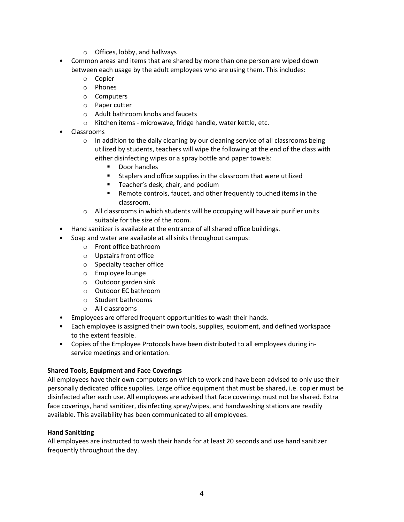- o Offices, lobby, and hallways
- Common areas and items that are shared by more than one person are wiped down between each usage by the adult employees who are using them. This includes:
	- o Copier
	- o Phones
	- o Computers
	- o Paper cutter
	- o Adult bathroom knobs and faucets
	- o Kitchen items microwave, fridge handle, water kettle, etc.
- Classrooms
	- $\circ$  In addition to the daily cleaning by our cleaning service of all classrooms being utilized by students, teachers will wipe the following at the end of the class with either disinfecting wipes or a spray bottle and paper towels:
		- Door handles
		- Staplers and office supplies in the classroom that were utilized
		- Teacher's desk, chair, and podium
		- Remote controls, faucet, and other frequently touched items in the classroom.
	- $\circ$  All classrooms in which students will be occupying will have air purifier units suitable for the size of the room.
- Hand sanitizer is available at the entrance of all shared office buildings.
- Soap and water are available at all sinks throughout campus:
	- o Front office bathroom
	- o Upstairs front office
	- o Specialty teacher office
	- o Employee lounge
	- o Outdoor garden sink
	- o Outdoor EC bathroom
	- o Student bathrooms
	- o All classrooms
- Employees are offered frequent opportunities to wash their hands.
- Each employee is assigned their own tools, supplies, equipment, and defined workspace to the extent feasible.
- Copies of the Employee Protocols have been distributed to all employees during inservice meetings and orientation.

### Shared Tools, Equipment and Face Coverings

All employees have their own computers on which to work and have been advised to only use their personally dedicated office supplies. Large office equipment that must be shared, i.e. copier must be disinfected after each use. All employees are advised that face coverings must not be shared. Extra face coverings, hand sanitizer, disinfecting spray/wipes, and handwashing stations are readily available. This availability has been communicated to all employees.

### Hand Sanitizing

All employees are instructed to wash their hands for at least 20 seconds and use hand sanitizer frequently throughout the day.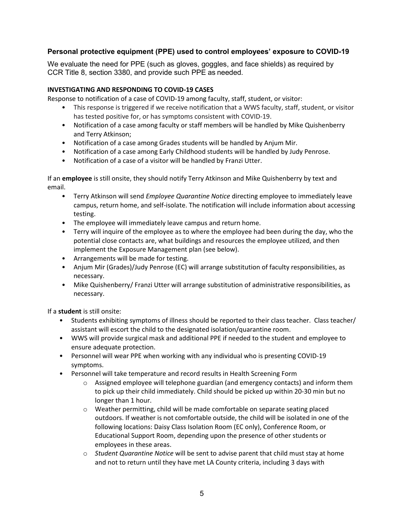### Personal protective equipment (PPE) used to control employees' exposure to COVID-19

We evaluate the need for PPE (such as gloves, goggles, and face shields) as required by CCR Title 8, section 3380, and provide such PPE as needed.

### INVESTIGATING AND RESPONDING TO COVID-19 CASES

Response to notification of a case of COVID-19 among faculty, staff, student, or visitor:

- This response is triggered if we receive notification that a WWS faculty, staff, student, or visitor has tested positive for, or has symptoms consistent with COVID-19.
- Notification of a case among faculty or staff members will be handled by Mike Quishenberry and Terry Atkinson;
- Notification of a case among Grades students will be handled by Anjum Mir.
- Notification of a case among Early Childhood students will be handled by Judy Penrose.
- Notification of a case of a visitor will be handled by Franzi Utter.

If an employee is still onsite, they should notify Terry Atkinson and Mike Quishenberry by text and email.

- Terry Atkinson will send *Employee Quarantine Notice* directing employee to immediately leave campus, return home, and self-isolate. The notification will include information about accessing testing.
- The employee will immediately leave campus and return home.
- Terry will inquire of the employee as to where the employee had been during the day, who the potential close contacts are, what buildings and resources the employee utilized, and then implement the Exposure Management plan (see below).
- Arrangements will be made for testing.
- Anjum Mir (Grades)/Judy Penrose (EC) will arrange substitution of faculty responsibilities, as necessary.
- Mike Quishenberry/ Franzi Utter will arrange substitution of administrative responsibilities, as necessary.

If a student is still onsite:

- Students exhibiting symptoms of illness should be reported to their class teacher. Class teacher/ assistant will escort the child to the designated isolation/quarantine room.
- WWS will provide surgical mask and additional PPE if needed to the student and employee to ensure adequate protection.
- Personnel will wear PPE when working with any individual who is presenting COVID-19 symptoms.
- Personnel will take temperature and record results in Health Screening Form
	- $\circ$  Assigned employee will telephone guardian (and emergency contacts) and inform them to pick up their child immediately. Child should be picked up within 20-30 min but no longer than 1 hour.
	- o Weather permitting, child will be made comfortable on separate seating placed outdoors. If weather is not comfortable outside, the child will be isolated in one of the following locations: Daisy Class Isolation Room (EC only), Conference Room, or Educational Support Room, depending upon the presence of other students or employees in these areas.
	- $\circ$  Student Quarantine Notice will be sent to advise parent that child must stay at home and not to return until they have met LA County criteria, including 3 days with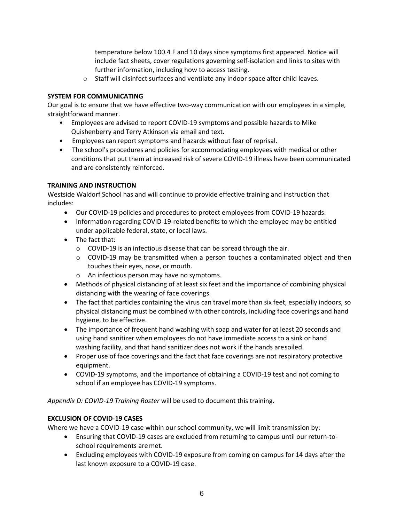temperature below 100.4 F and 10 days since symptoms first appeared. Notice will include fact sheets, cover regulations governing self-isolation and links to sites with further information, including how to access testing.

o Staff will disinfect surfaces and ventilate any indoor space after child leaves.

### SYSTEM FOR COMMUNICATING

Our goal is to ensure that we have effective two-way communication with our employees in a simple, straightforward manner.

- Employees are advised to report COVID-19 symptoms and possible hazards to Mike Quishenberry and Terry Atkinson via email and text.
- Employees can report symptoms and hazards without fear of reprisal.
- The school's procedures and policies for accommodating employees with medical or other conditions that put them at increased risk of severe COVID-19 illness have been communicated and are consistently reinforced.

### TRAINING AND INSTRUCTION

Westside Waldorf School has and will continue to provide effective training and instruction that includes:

- Our COVID-19 policies and procedures to protect employees from COVID-19 hazards.
- Information regarding COVID-19-related benefits to which the employee may be entitled under applicable federal, state, or local laws.
- The fact that:
	- $\circ$  COVID-19 is an infectious disease that can be spread through the air.
	- $\circ$  COVID-19 may be transmitted when a person touches a contaminated object and then touches their eyes, nose, or mouth.
	- o An infectious person may have no symptoms.
- Methods of physical distancing of at least six feet and the importance of combining physical distancing with the wearing of face coverings.
- The fact that particles containing the virus can travel more than six feet, especially indoors, so physical distancing must be combined with other controls, including face coverings and hand hygiene, to be effective.
- The importance of frequent hand washing with soap and water for at least 20 seconds and using hand sanitizer when employees do not have immediate access to a sink or hand washing facility, and that hand sanitizer does not work if the hands are soiled.
- Proper use of face coverings and the fact that face coverings are not respiratory protective equipment.
- COVID-19 symptoms, and the importance of obtaining a COVID-19 test and not coming to school if an employee has COVID-19 symptoms.

Appendix D: COVID-19 Training Roster will be used to document this training.

### EXCLUSION OF COVID-19 CASES

Where we have a COVID-19 case within our school community, we will limit transmission by:

- Ensuring that COVID-19 cases are excluded from returning to campus until our return-toschool requirements are met.
- Excluding employees with COVID-19 exposure from coming on campus for 14 days after the last known exposure to a COVID-19 case.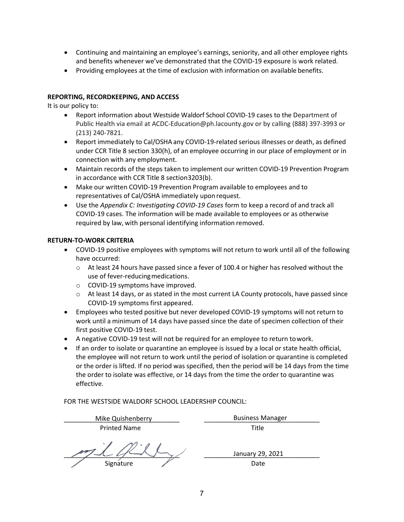- Continuing and maintaining an employee's earnings, seniority, and all other employee rights and benefits whenever we've demonstrated that the COVID-19 exposure is work related.
- Providing employees at the time of exclusion with information on available benefits.

### REPORTING, RECORDKEEPING, AND ACCESS

It is our policy to:

- Report information about Westside Waldorf School COVID-19 cases to the Department of Public Health via email at ACDC-Education@ph.lacounty.gov or by calling (888) 397-3993 or (213) 240-7821.
- Report immediately to Cal/OSHA any COVID-19-related serious illnesses or death, as defined under CCR Title 8 section 330(h), of an employee occurring in our place of employment or in connection with any employment.
- Maintain records of the steps taken to implement our written COVID-19 Prevention Program in accordance with CCR Title 8 section 3203(b).
- Make our written COVID-19 Prevention Program available to employees and to representatives of Cal/OSHA immediately upon request.
- Use the Appendix C: Investigating COVID-19 Cases form to keep a record of and track all COVID-19 cases. The information will be made available to employees or as otherwise required by law, with personal identifying information removed.

#### RETURN-TO-WORK CRITERIA

- COVID-19 positive employees with symptoms will not return to work until all of the following have occurred:
	- $\circ$  At least 24 hours have passed since a fever of 100.4 or higher has resolved without the use of fever-reducing medications.
	- o COVID-19 symptoms have improved.
	- $\circ$  At least 14 days, or as stated in the most current LA County protocols, have passed since COVID-19 symptoms first appeared.
- Employees who tested positive but never developed COVID-19 symptoms will not return to work until a minimum of 14 days have passed since the date of specimen collection of their first positive COVID-19 test.
- A negative COVID-19 test will not be required for an employee to return to work.
- If an order to isolate or quarantine an employee is issued by a local or state health official, the employee will not return to work until the period of isolation or quarantine is completed or the order is lifted. If no period was specified, then the period will be 14 days from the time the order to isolate was effective, or 14 days from the time the order to quarantine was effective.

FOR THE WESTSIDE WALDORF SCHOOL LEADERSHIP COUNCIL:

| Mike Quishenberry   | <b>Business Manager</b> |
|---------------------|-------------------------|
| <b>Printed Name</b> | Title                   |

 $\frac{1}{2}$ Signature Date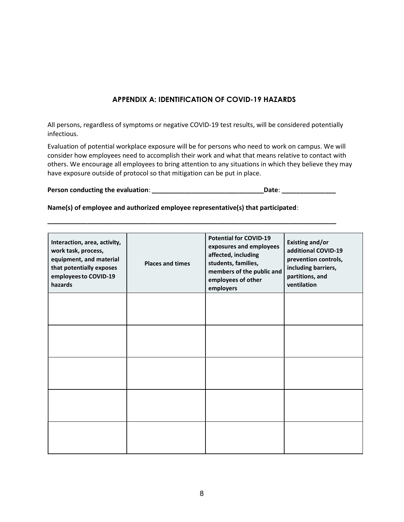### APPENDIX A: IDENTIFICATION OF COVID-19 HAZARDS

All persons, regardless of symptoms or negative COVID-19 test results, will be considered potentially infectious.

Evaluation of potential workplace exposure will be for persons who need to work on campus. We will consider how employees need to accomplish their work and what that means relative to contact with others. We encourage all employees to bring attention to any situations in which they believe they may have exposure outside of protocol so that mitigation can be put in place.

| Person conducting the evaluation:<br>Date: |  |
|--------------------------------------------|--|
|--------------------------------------------|--|

\_\_\_\_\_\_\_\_\_\_\_\_\_\_\_\_\_\_\_\_\_\_\_\_\_\_\_\_\_\_\_\_\_\_\_\_\_\_\_\_\_\_\_\_\_\_\_\_\_\_\_\_\_\_\_\_\_\_\_\_\_\_\_\_\_\_\_\_\_\_\_\_\_\_\_\_\_\_\_\_

Name(s) of employee and authorized employee representative(s) that participated:

| Interaction, area, activity,<br>work task, process,<br>equipment, and material<br>that potentially exposes<br>employees to COVID-19<br>hazards | <b>Places and times</b> | <b>Potential for COVID-19</b><br>exposures and employees<br>affected, including<br>students, families,<br>members of the public and<br>employees of other<br>employers | <b>Existing and/or</b><br>additional COVID-19<br>prevention controls,<br>including barriers,<br>partitions, and<br>ventilation |
|------------------------------------------------------------------------------------------------------------------------------------------------|-------------------------|------------------------------------------------------------------------------------------------------------------------------------------------------------------------|--------------------------------------------------------------------------------------------------------------------------------|
|                                                                                                                                                |                         |                                                                                                                                                                        |                                                                                                                                |
|                                                                                                                                                |                         |                                                                                                                                                                        |                                                                                                                                |
|                                                                                                                                                |                         |                                                                                                                                                                        |                                                                                                                                |
|                                                                                                                                                |                         |                                                                                                                                                                        |                                                                                                                                |
|                                                                                                                                                |                         |                                                                                                                                                                        |                                                                                                                                |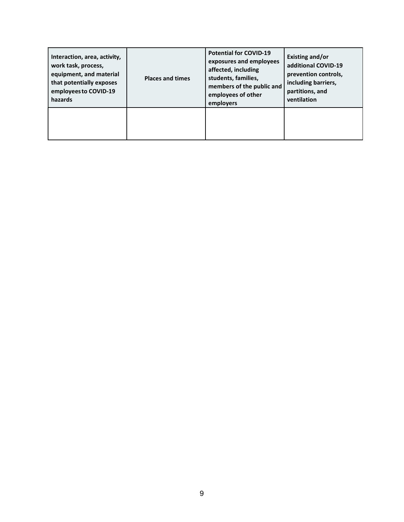| Interaction, area, activity,<br>work task, process,<br>equipment, and material<br>that potentially exposes<br>employees to COVID-19<br>hazards | <b>Places and times</b> | <b>Potential for COVID-19</b><br>exposures and employees<br>affected, including<br>students, families,<br>members of the public and<br>employees of other<br>employers | Existing and/or<br>additional COVID-19<br>prevention controls,<br>including barriers,<br>partitions, and<br>ventilation |
|------------------------------------------------------------------------------------------------------------------------------------------------|-------------------------|------------------------------------------------------------------------------------------------------------------------------------------------------------------------|-------------------------------------------------------------------------------------------------------------------------|
|                                                                                                                                                |                         |                                                                                                                                                                        |                                                                                                                         |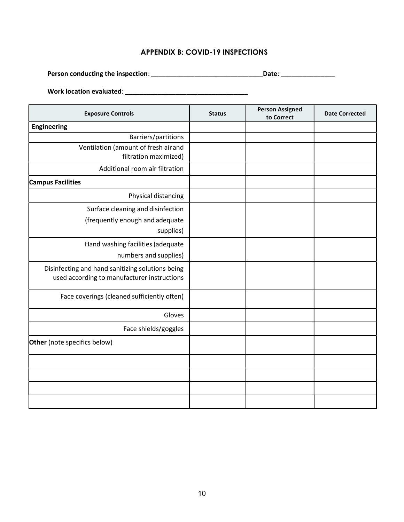# APPENDIX B: COVID-19 INSPECTIONS

Person conducting the inspection: \_\_\_\_\_\_\_\_\_\_\_\_\_\_\_\_\_\_\_\_\_\_\_\_\_\_\_\_\_\_\_Date: \_\_\_\_\_\_\_\_\_\_\_\_\_\_\_

Work location evaluated: \_\_\_\_\_\_\_\_\_\_\_\_\_\_\_\_\_\_\_\_\_\_\_\_\_\_\_\_\_\_\_\_\_\_

| <b>Exposure Controls</b>                                                                        | <b>Status</b> | <b>Person Assigned</b><br>to Correct | <b>Date Corrected</b> |
|-------------------------------------------------------------------------------------------------|---------------|--------------------------------------|-----------------------|
| <b>Engineering</b>                                                                              |               |                                      |                       |
| Barriers/partitions                                                                             |               |                                      |                       |
| Ventilation (amount of fresh air and<br>filtration maximized)                                   |               |                                      |                       |
| Additional room air filtration                                                                  |               |                                      |                       |
| <b>Campus Facilities</b>                                                                        |               |                                      |                       |
| Physical distancing                                                                             |               |                                      |                       |
| Surface cleaning and disinfection<br>(frequently enough and adequate<br>supplies)               |               |                                      |                       |
| Hand washing facilities (adequate<br>numbers and supplies)                                      |               |                                      |                       |
| Disinfecting and hand sanitizing solutions being<br>used according to manufacturer instructions |               |                                      |                       |
| Face coverings (cleaned sufficiently often)                                                     |               |                                      |                       |
| Gloves                                                                                          |               |                                      |                       |
| Face shields/goggles                                                                            |               |                                      |                       |
| Other (note specifics below)                                                                    |               |                                      |                       |
|                                                                                                 |               |                                      |                       |
|                                                                                                 |               |                                      |                       |
|                                                                                                 |               |                                      |                       |
|                                                                                                 |               |                                      |                       |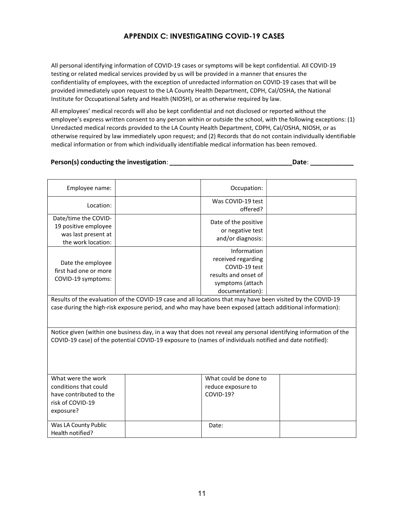## APPENDIX C: INVESTIGATING COVID-19 CASES

All personal identifying information of COVID-19 cases or symptoms will be kept confidential. All COVID-19 testing or related medical services provided by us will be provided in a manner that ensures the confidentiality of employees, with the exception of unredacted information on COVID-19 cases that will be provided immediately upon request to the LA County Health Department, CDPH, Cal/OSHA, the National Institute for Occupational Safety and Health (NIOSH), or as otherwise required by law.

All employees' medical records will also be kept confidential and not disclosed or reported without the employee's express written consent to any person within or outside the school, with the following exceptions: (1) Unredacted medical records provided to the LA County Health Department, CDPH, Cal/OSHA, NIOSH, or as otherwise required by law immediately upon request; and (2) Records that do not contain individually identifiable medical information or from which individually identifiable medical information has been removed.

### Person(s) conducting the investigation: \_\_\_\_\_\_\_\_\_\_\_\_\_\_\_\_\_\_\_\_\_\_\_\_\_\_\_\_\_\_\_\_\_\_Date: \_\_\_\_\_\_\_\_\_\_\_\_

| Employee name:                                                                                                                                                                                                              |  | Occupation:                                                                                                       |  |  |
|-----------------------------------------------------------------------------------------------------------------------------------------------------------------------------------------------------------------------------|--|-------------------------------------------------------------------------------------------------------------------|--|--|
| Location:                                                                                                                                                                                                                   |  | Was COVID-19 test<br>offered?                                                                                     |  |  |
| Date/time the COVID-<br>19 positive employee<br>was last present at<br>the work location:                                                                                                                                   |  | Date of the positive<br>or negative test<br>and/or diagnosis:                                                     |  |  |
| Date the employee<br>first had one or more<br>COVID-19 symptoms:                                                                                                                                                            |  | Information<br>received regarding<br>COVID-19 test<br>results and onset of<br>symptoms (attach<br>documentation): |  |  |
| Results of the evaluation of the COVID-19 case and all locations that may have been visited by the COVID-19<br>case during the high-risk exposure period, and who may have been exposed (attach additional information):    |  |                                                                                                                   |  |  |
| Notice given (within one business day, in a way that does not reveal any personal identifying information of the<br>COVID-19 case) of the potential COVID-19 exposure to (names of individuals notified and date notified): |  |                                                                                                                   |  |  |
| What were the work<br>conditions that could<br>have contributed to the<br>risk of COVID-19<br>exposure?                                                                                                                     |  | What could be done to<br>reduce exposure to<br><b>COVID-19?</b>                                                   |  |  |
| Was LA County Public<br>Health notified?                                                                                                                                                                                    |  | Date:                                                                                                             |  |  |